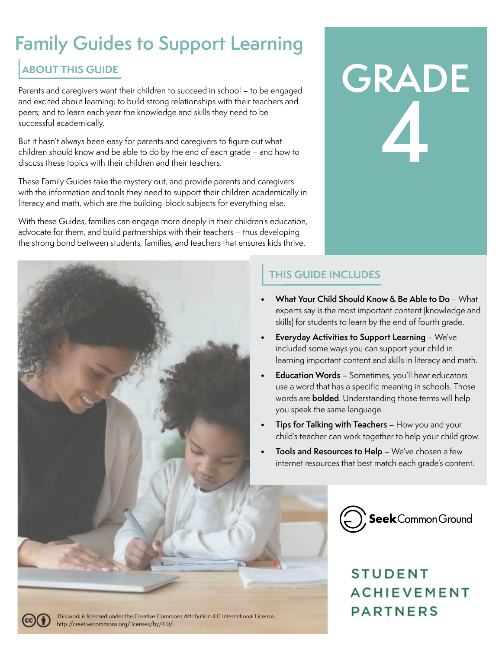# **Family Guides to Support Learning**

### **ABOUT THIS GUIDE**

Parents and caregivers want their children to succeed in school – to be engaged and excited about learning; to build strong relationships with their teachers and peers; and to learn each year the knowledge and skills they need to be successful academically.

But it hasn't always been easy for parents and caregivers to figure out what children should know and be able to do by the end of each grade – and how to discuss these topics with their children and their teachers.

These Family Guides take the mystery out, and provide parents and caregivers with the information and tools they need to support their children academically in literacy and math, which are the building-block subjects for everything else.

With these Guides, families can engage more deeply in their children's education, advocate for them, and build partnerships with their teachers – thus developing the strong bond between students, families, and teachers that ensures kids thrive.



### **THIS GUIDE INCLUDES**

**• What Your Child Should Know & Be Able to Do** – What experts say is the most important content (knowledge and skills) for students to learn by the end of fourth grade.

**GRADE**

**4**

- **• Everyday Activities to Support Learning**  We've included some ways you can support your child in learning important content and skills in literacy and math.
- **• Education Words** Sometimes, you'll hear educators use a word that has a specific meaning in schools. Those words are **bolded**. Understanding those terms will help you speak the same language.
- **• Tips for Talking with Teachers** How you and your child's teacher can work together to help your child grow.
- **• Tools and Resources to Help** We've chosen a few internet resources that best match each grade's content.



## **STUDENT ACHIEVEMENT PARTNERS**



This work is licensed under the Creative Commons Attribution 4.0 International License. [http://creativecommons.org/licenses/by/4.0/.](http://creativecommons.org/licenses/by/4.0/)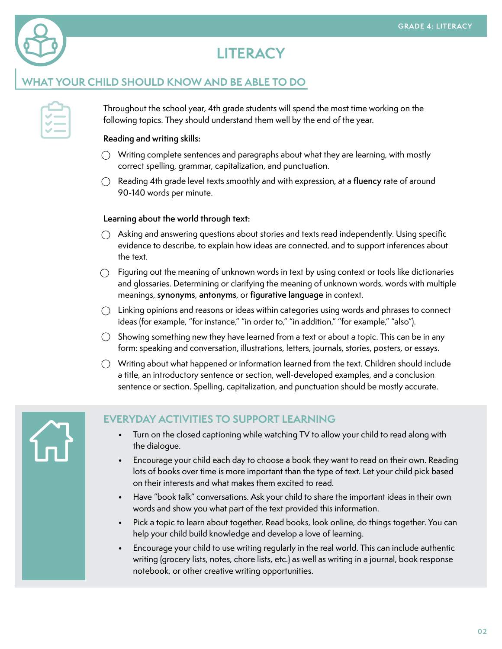

### **LITERACY**

#### **WHAT YOUR CHILD SHOULD KNOW AND BE ABLE TO DO**

Throughout the school year, 4th grade students will spend the most time working on the following topics. They should understand them well by the end of the year.

#### **Reading and writing skills:**

- $\bigcirc$  Writing complete sentences and paragraphs about what they are learning, with mostly correct spelling, grammar, capitalization, and punctuation.
- Reading 4th grade level texts smoothly and with expression, at a **fluency** rate of around 90-140 words per minute.

#### **Learning about the world through text:**

- $\bigcirc$  Asking and answering questions about stories and texts read independently. Using specific evidence to describe, to explain how ideas are connected, and to support inferences about the text.
- $\bigcirc$  Figuring out the meaning of unknown words in text by using context or tools like dictionaries and glossaries. Determining or clarifying the meaning of unknown words, words with multiple meanings, **synonyms**, **antonyms**, or **figurative language** in context.
- $\bigcirc$  Linking opinions and reasons or ideas within categories using words and phrases to connect ideas (for example, "for instance," "in order to," "in addition," "for example," "also").
- $\bigcirc$  Showing something new they have learned from a text or about a topic. This can be in any form: speaking and conversation, illustrations, letters, journals, stories, posters, or essays.
- $\bigcirc$  Writing about what happened or information learned from the text. Children should include a title, an introductory sentence or section, well-developed examples, and a conclusion sentence or section. Spelling, capitalization, and punctuation should be mostly accurate.

### **EVERYDAY ACTIVITIES TO SUPPORT LEARNING**

- Turn on the closed captioning while watching TV to allow your child to read along with the dialogue.
- Encourage your child each day to choose a book they want to read on their own. Reading lots of books over time is more important than the type of text. Let your child pick based on their interests and what makes them excited to read.
- Have "book talk" conversations. Ask your child to share the important ideas in their own words and show you what part of the text provided this information.
- Pick a topic to learn about together. Read books, look online, do things together. You can help your child build knowledge and develop a love of learning.
- Encourage your child to use writing regularly in the real world. This can include authentic writing (grocery lists, notes, chore lists, etc.) as well as writing in a journal, book response notebook, or other creative writing opportunities.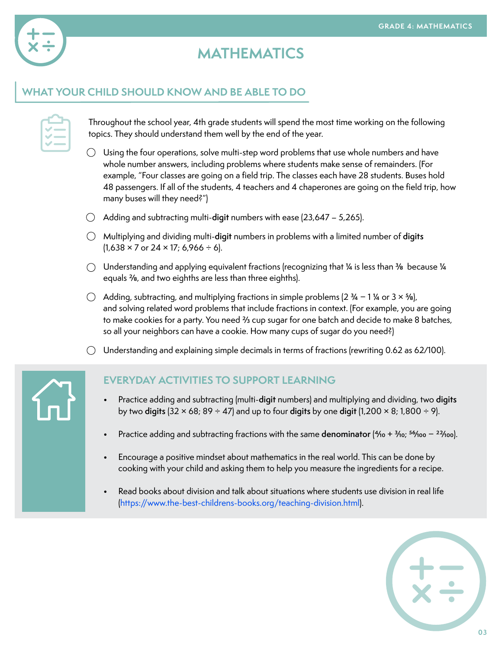

### **MATHEMATICS**

#### **WHAT YOUR CHILD SHOULD KNOW AND BE ABLE TO DO**

Throughout the school year, 4th grade students will spend the most time working on the following topics. They should understand them well by the end of the year.

- $\bigcirc$  Using the four operations, solve multi-step word problems that use whole numbers and have whole number answers, including problems where students make sense of remainders. (For example, "Four classes are going on a field trip. The classes each have 28 students. Buses hold 48 passengers. If all of the students, 4 teachers and 4 chaperones are going on the field trip, how many buses will they need?")
- Adding and subtracting multi-**digit** numbers with ease (23,647 5,265).
- Multiplying and dividing multi-**digit** numbers in problems with a limited number of **digits**   $(1,638 \times 7 \text{ or } 24 \times 17; 6,966 \div 6).$
- $\bigcirc$  Understanding and applying equivalent fractions (recognizing that 1/4 is less than 3/8 because 1/4 equals 2/8, and two eighths are less than three eighths).
- Adding, subtracting, and multiplying fractions in simple problems (2 3⁄4 − 1 1⁄4 or 3 × 5⁄8), and solving related word problems that include fractions in context. (For example, you are going to make cookies for a party. You need 3/3 cup sugar for one batch and decide to make 8 batches, so all your neighbors can have a cookie. How many cups of sugar do you need?)
- $\bigcirc$  Understanding and explaining simple decimals in terms of fractions (rewriting 0.62 as 62/100).

#### **EVERYDAY ACTIVITIES TO SUPPORT LEARNING**

- Practice adding and subtracting (multi-**digit** numbers) and multiplying and dividing, two **digits**  by two **digits** (32 × 68; 89 ÷ 47) and up to four **digits** by one **digit** (1,200 × 8; 1,800 ÷ 9).
- Practice adding and subtracting fractions with the same denominator (4/10 + 3/10; <sup>56</sup>/100 − <sup>22</sup>/100).
- Encourage a positive mindset about mathematics in the real world. This can be done by cooking with your child and asking them to help you measure the ingredients for a recipe.
- Read books about division and talk about situations where students use division in real life ([https://www.the-best-childrens-books.org/teaching-division.html\)](https://www.the-best-childrens-books.org/teaching-division.html).

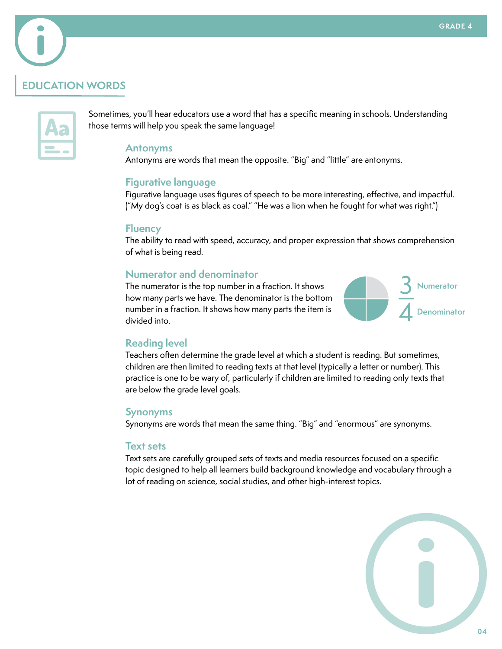### **EDUCATION WORDS**



Sometimes, you'll hear educators use a word that has a specific meaning in schools. Understanding those terms will help you speak the same language!

#### **Antonyms**

Antonyms are words that mean the opposite. "Big" and "little" are antonyms.

#### **Figurative language**

Figurative language uses figures of speech to be more interesting, effective, and impactful. ("My dog's coat is as black as coal." "He was a lion when he fought for what was right.")

#### **Fluency**

The ability to read with speed, accuracy, and proper expression that shows comprehension of what is being read.

#### **Numerator and denominator**

The numerator is the top number in a fraction. It shows how many parts we have. The denominator is the bottom number in a fraction. It shows how many parts the item is divided into.



#### **Reading level**

Teachers often determine the grade level at which a student is reading. But sometimes, children are then limited to reading texts at that level (typically a letter or number). This practice is one to be wary of, particularly if children are limited to reading only texts that are below the grade level goals.

#### **Synonyms**

Synonyms are words that mean the same thing. "Big" and "enormous" are synonyms.

#### **Text sets**

Text sets are carefully grouped sets of texts and media resources focused on a specific topic designed to help all learners build background knowledge and vocabulary through a lot of reading on science, social studies, and other high-interest topics.

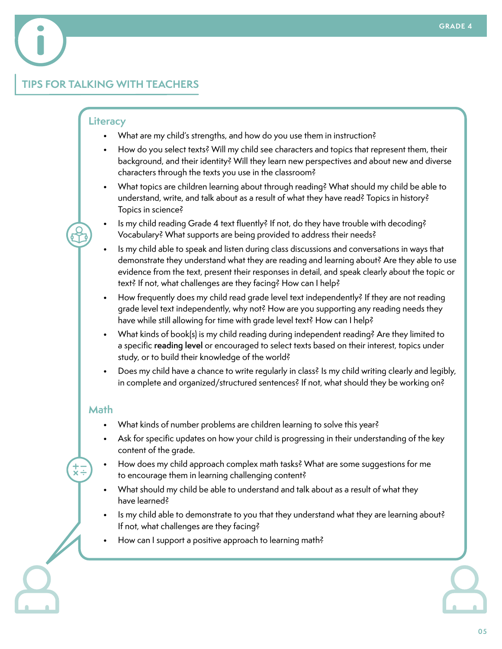### **TIPS FOR TALKING WITH TEACHERS**

#### **Literacy**

- What are my child's strengths, and how do you use them in instruction?
- How do you select texts? Will my child see characters and topics that represent them, their background, and their identity? Will they learn new perspectives and about new and diverse characters through the texts you use in the classroom?
- What topics are children learning about through reading? What should my child be able to understand, write, and talk about as a result of what they have read? Topics in history? Topics in science?
- Is my child reading Grade 4 text fluently? If not, do they have trouble with decoding? Vocabulary? What supports are being provided to address their needs?
- Is my child able to speak and listen during class discussions and conversations in ways that demonstrate they understand what they are reading and learning about? Are they able to use evidence from the text, present their responses in detail, and speak clearly about the topic or text? If not, what challenges are they facing? How can I help?
- How frequently does my child read grade level text independently? If they are not reading grade level text independently, why not? How are you supporting any reading needs they have while still allowing for time with grade level text? How can I help?
- What kinds of book(s) is my child reading during independent reading? Are they limited to a specific **reading level** or encouraged to select texts based on their interest, topics under study, or to build their knowledge of the world?
- Does my child have a chance to write regularly in class? Is my child writing clearly and legibly, in complete and organized/structured sentences? If not, what should they be working on?

#### **Math**

- What kinds of number problems are children learning to solve this year?
- Ask for specific updates on how your child is progressing in their understanding of the key content of the grade.
- How does my child approach complex math tasks? What are some suggestions for me to encourage them in learning challenging content?
- What should my child be able to understand and talk about as a result of what they have learned?
- Is my child able to demonstrate to you that they understand what they are learning about? If not, what challenges are they facing?
- How can I support a positive approach to learning math?